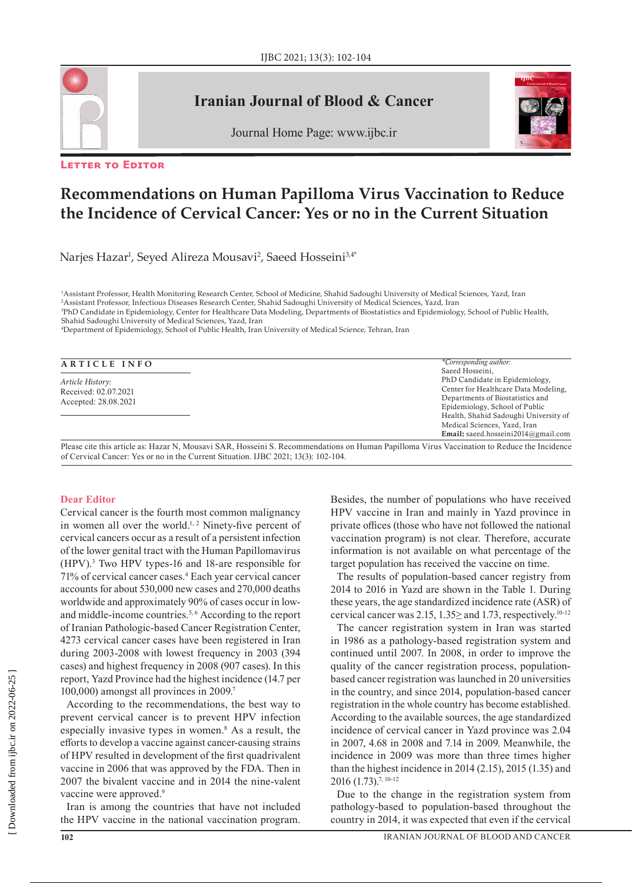

# **Iranian Journal of Blood & Cancer**





#### **Letter to Editor**

# **Recommendations on Human Papilloma Virus Vaccination to Reduce the Incidence of Cervical Cancer: Yes or no in the Current Situation**

Narjes Hazar<sup>ı</sup>, Seyed Alireza Mousavi<sup>2</sup>, Saeed Hosseini<sup>3,4\*</sup>

 Assistant Professor, Health Monitoring Research Center, School of Medicine, Shahid Sadoughi University of Medical Sciences, Yazd, Iran Assistant Professor, Infectious Diseases Research Center, Shahid Sadoughi University of Medical Sciences, Yazd, Iran PhD Candidate in Epidemiology, Center for Healthcare Data Modeling, Departments of Biostatistics and Epidemiology, School of Public Health, Shahid Sadoughi University of Medical Sciences, Yazd, Iran

4 Department of Epidemiology, School of Public Health, Iran University of Medical Science, Tehran, Iran

| ARTICLE INFO |
|--------------|
|--------------|

*Article History:* Received: 02.07.2021 Accepted: 28.08.2021

Please cite this article as: Hazar N, Mousavi SAR, Hosseini S. Recommendations on Human Papilloma Virus Vaccination to Reduce the Incidence of Cervical Cancer: Yes or no in the Current Situation. IJBC 2021; 13(3): 102-104. Email: [saeed.hosseini2014@gmail.com](mailto:saeed.hosseini2014@gmail.com)

#### **Dear Editor**

Cervical cancer is the fourth most common malignancy in women all over the world.<sup>1, 2</sup> Ninety-five percent of cervical cancers occur as a result of a persistent infection of the lower genital tract with the Human Papillomavirus (HPV).3 Two HPV types-16 and 18-are responsible for 71% of cervical cancer cases.4 Each year cervical cancer accounts for about 530,000 new cases and 270,000 deaths worldwide and approximately 90% of cases occur in lowand middle-income countries.<sup>5,6</sup> According to the report of Iranian Pathologic-based Cancer Registration Center, 4273 cervical cancer cases have been registered in Iran during 2003-2008 with lowest frequency in 2003 (394 cases) and highest frequency in 2008 (907 cases). In this report, Yazd Province had the highest incidence (14.7 per 100,000) amongst all provinces in 2009.7

According to the recommendations, the best way to prevent cervical cancer is to prevent HPV infection especially invasive types in women.<sup>8</sup> As a result, the efforts to develop a vaccine against cancer-causing strains of HPV resulted in development of the first quadrivalent vaccine in 2006 that was approved by the FDA. Then in 2007 the bivalent vaccine and in 2014 the nine-valent vaccine were approved.<sup>9</sup>

Iran is among the countries that have not included the HPV vaccine in the national vaccination program.

Besides, the number of populations who have received HPV vaccine in Iran and mainly in Yazd province in private offices (those who have not followed the national vaccination program) is not clear. Therefore, accurate information is not available on what percentage of the target population has received the vaccine on time.

*\*Corresponding author:* Saeed Hosseini,

PhD Candidate in Epidemiology, Center for Healthcare Data Modeling, Departments of Biostatistics and Epidemiology, School of Public Health, Shahid Sadoughi University of Medical Sciences, Yazd, Iran

The results of population-based cancer registry from 2014 to 2016 in Yazd are shown in the Table 1. During these years, the age standardized incidence rate (ASR) of cervical cancer was 2.15,  $1.35 \ge$  and 1.73, respectively.<sup>10-12</sup>

The cancer registration system in Iran was started in 1986 as a pathology-based registration system and continued until 2007. In 2008, in order to improve the quality of the cancer registration process, populationbased cancer registration was launched in 20 universities in the country, and since 2014, population-based cancer registration in the whole country has become established. According to the available sources, the age standardized incidence of cervical cancer in Yazd province was 2.04 in 2007, 4.68 in 2008 and 7.14 in 2009. Meanwhile, the incidence in 2009 was more than three times higher than the highest incidence in 2014 (2.15), 2015 (1.35) and 2016 (1.73).7, 10-12

Due to the change in the registration system from pathology-based to population-based throughout the country in 2014, it was expected that even if the cervical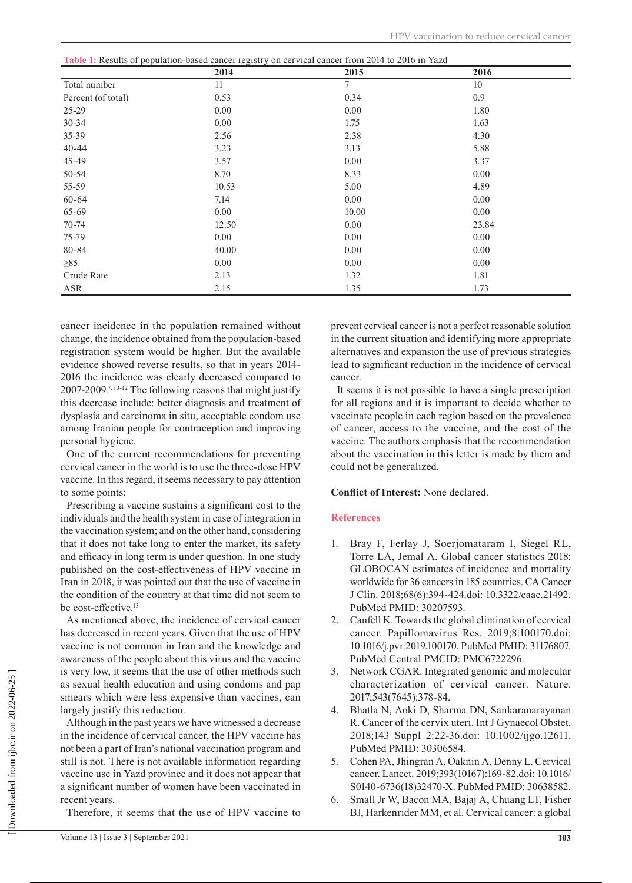| Table 1: Results of population-based cancer registry on cervical cancer from 2014 to 2016 in Yazd |
|---------------------------------------------------------------------------------------------------|
|---------------------------------------------------------------------------------------------------|

| $\ldots$           | 2014  | on voi <i>nom vanvoi</i> nom<br>2015 | 2016  |  |
|--------------------|-------|--------------------------------------|-------|--|
| Total number       | 11    | $\tau$                               | 10    |  |
| Percent (of total) | 0.53  | 0.34                                 | 0.9   |  |
| 25-29              | 0.00  | 0.00                                 | 1.80  |  |
| 30-34              | 0.00  | 1.75                                 | 1.63  |  |
| 35-39              | 2.56  | 2.38                                 | 4.30  |  |
| $40 - 44$          | 3.23  | 3.13                                 | 5.88  |  |
| 45-49              | 3.57  | 0.00                                 | 3.37  |  |
| $50 - 54$          | 8.70  | 8.33                                 | 0.00  |  |
| 55-59              | 10.53 | 5.00                                 | 4.89  |  |
| 60-64              | 7.14  | 0.00                                 | 0.00  |  |
| $65 - 69$          | 0.00  | 10.00                                | 0.00  |  |
| $70 - 74$          | 12.50 | 0.00                                 | 23.84 |  |
| 75-79              | 0.00  | 0.00                                 | 0.00  |  |
| 80-84              | 40.00 | 0.00                                 | 0.00  |  |
| $\geq 85$          | 0.00  | 0.00                                 | 0.00  |  |
| Crude Rate         | 2.13  | 1.32                                 | 1.81  |  |
| ASR                | 2.15  | 1.35                                 | 1.73  |  |

cancer incidence in the population remained without change, the incidence obtained from the population-based registration system would be higher. But the available evidence showed reverse results, so that in years 2014- 2016 the incidence was clearly decreased compared to 2007-2009.7, 10-12 The following reasons that might justify this decrease include: better diagnosis and treatment of dysplasia and carcinoma in situ, acceptable condom use among Iranian people for contraception and improving personal hygiene.

One of the current recommendations for preventing cervical cancer in the world is to use the three-dose HPV vaccine. In this regard, it seems necessary to pay attention to some points:

Prescribing a vaccine sustains a significant cost to the individuals and the health system in case of integration in the vaccination system; and on the other hand, considering that it does not take long to enter the market, its safety and efficacy in long term is under question. In one study published on the cost-effectiveness of HPV vaccine in Iran in 2018, it was pointed out that the use of vaccine in the condition of the country at that time did not seem to be cost-effective.<sup>13</sup>

As mentioned above, the incidence of cervical cancer has decreased in recent years. Given that the use of HPV vaccine is not common in Iran and the knowledge and awareness of the people about this virus and the vaccine is very low, it seems that the use of other methods such as sexual health education and using condoms and pap smears which were less expensive than vaccines, can largely justify this reduction.

Although in the past years we have witnessed a decrease in the incidence of cervical cancer, the HPV vaccine has not been a part of Iran's national vaccination program and still is not. There is not available information regarding vaccine use in Yazd province and it does not appear that a significant number of women have been vaccinated in recent years.

Therefore, it seems that the use of HPV vaccine to

prevent cervical cancer is not a perfect reasonable solution in the current situation and identifying more appropriate alternatives and expansion the use of previous strategies lead to significant reduction in the incidence of cervical cancer.

It seems it is not possible to have a single prescription for all regions and it is important to decide whether to vaccinate people in each region based on the prevalence of cancer, access to the vaccine, and the cost of the vaccine. The authors emphasis that the recommendation about the vaccination in this letter is made by them and could not be generalized.

## **Conflict of Interest:** None declared.

## **References**

- 1. Bray F, Ferlay J, Soerjomataram I, Siegel RL, Torre LA, Jemal A. Global cancer statistics 2018: GLOBOCAN estimates of incidence and mortality worldwide for 36 cancers in 185 countries. CA Cancer J Clin. 2018;68(6):394-424.doi: 10.3322/caac.21492. PubMed PMID: 30207593.
- 2. Canfell K. Towards the global elimination of cervical cancer. Papillomavirus Res. 2019;8:100170.doi: 10.1016/j.pvr.2019.100170. PubMed PMID: 31176807. PubMed Central PMCID: PMC6722296.
- 3. Network CGAR. Integrated genomic and molecular characterization of cervical cancer. Nature. 2017;543(7645):378-84.
- 4. Bhatla N, Aoki D, Sharma DN, Sankaranarayanan R. Cancer of the cervix uteri. Int J Gynaecol Obstet. 2018;143 Suppl 2:22-36.doi: 10.1002/ijgo.12611. PubMed PMID: 30306584.
- 5. Cohen PA, Jhingran A, Oaknin A, Denny L. Cervical cancer. Lancet. 2019;393(10167):169-82.doi: 10.1016/ S0140-6736(18)32470-X. PubMed PMID: 30638582.
- 6. Small Jr W, Bacon MA, Bajaj A, Chuang LT, Fisher BJ, Harkenrider MM, et al. Cervical cancer: a global